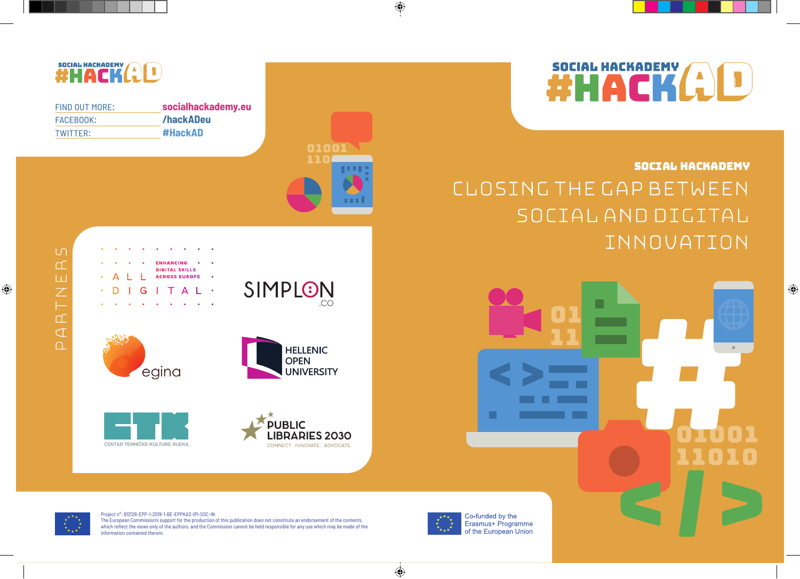# SOCIAL HACKADEMY

 $\bigoplus$ 

### Social Hackademy Closing the gap between social and digital innovation





CONNECT. INNOVATE. ADVOCATE.

 $\bigoplus$ 

## **SOCIAL HACKADEMY (A)D**

 $\bigoplus$ 

| FIND OUT MORF: | socialhackademy.eu |
|----------------|--------------------|
| FACEBOOK:      | /hackADeu          |
| TWITTER:       | #HackAD            |





Project n°: 612128-EPP-1-2019-1-BE-EPPKA3-IPI-SOC-IN The European Commission's support for the production of this publication does not constitute an endorsement of the contents, which reflect the views only of the authors, and the Commission cannot be held responsible for any use which may be made of the information contained therein.



 $\bigoplus$